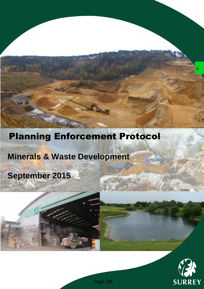# Planning Enforcement Protocol

## **Minerals & Waste Development**

 **September 2015**

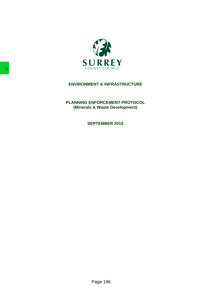

### **ENVIRONMENT & INFRASTRUCTURE**

**PLANNING ENFORCEMENT PROTOCOL (Minerals & Waste Development)** FRIVIRONMENT & INF<br>PLANNING ENFORCEM<br>(Minerals & Wastel<br>SEPTEMBEL

**SEPTEMBER 2015**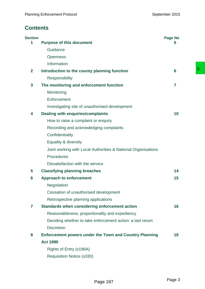### **Contents**

| <b>Section</b><br>1 |                                                               | Page No |   |
|---------------------|---------------------------------------------------------------|---------|---|
|                     | <b>Purpose of this document</b><br>Guidance                   | 5       |   |
|                     | <b>Openness</b>                                               |         |   |
|                     | Information                                                   |         |   |
| $\mathbf{2}$        | Introduction to the county planning function                  | 6       | 9 |
|                     | Responsibility                                                |         |   |
| 3                   | The monitoring and enforcement function                       | 7       |   |
|                     | Monitoring                                                    |         |   |
|                     | Enforcement                                                   |         |   |
|                     | Investigating site of unauthorised development                |         |   |
| 4                   | <b>Dealing with enquiries/complaints</b>                      | 10      |   |
|                     | How to raise a complaint or enquiry                           |         |   |
|                     | Recording and acknowledging complaints                        |         |   |
|                     | Confidentiality                                               |         |   |
|                     | Equality & diversity                                          |         |   |
|                     | Joint working with Local Authorities & National Organisations |         |   |
|                     | Procedures                                                    |         |   |
|                     | Dissatisfaction with the service                              |         |   |
| 5                   | <b>Classifying planning breaches</b>                          | 14      |   |
| 6                   | <b>Approach to enforcement</b>                                | 15      |   |
|                     | Negotiation                                                   |         |   |
|                     | Cessation of unauthorised development                         |         |   |
|                     | Retrospective planning applications                           |         |   |
| 7                   | Standards when considering enforcement action                 | 16      |   |
|                     | Reasonableness, proportionality and expediency                |         |   |
|                     | Deciding whether to take enforcement action: a last resort    |         |   |
|                     | <b>Discretion</b>                                             |         |   |
| 8                   | <b>Enforcement powers under the Town and Country Planning</b> | 18      |   |
|                     | <b>Act 1990</b>                                               |         |   |
|                     | Rights of Entry (s196A)                                       |         |   |
|                     | Requisition Notice (s330)                                     |         |   |
|                     |                                                               |         |   |
|                     |                                                               |         |   |
|                     | Page 197                                                      | Page 3  |   |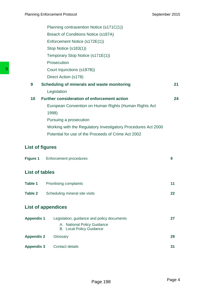|    | Planning contravention Notice (s171C(1))                      |    |
|----|---------------------------------------------------------------|----|
|    | Breach of Conditions Notice (s187A)                           |    |
|    | Enforcement Notice (s172E(1))                                 |    |
|    | Stop Notice (s183(1))                                         |    |
|    | Temporary Stop Notice (s171E(1))                              |    |
|    | Prosecution                                                   |    |
|    | Court Injunctions (s187B))                                    |    |
|    | Direct Action (s178)                                          |    |
| 9  | Scheduling of minerals and waste monitoring                   | 21 |
|    | Legislation                                                   |    |
| 10 | <b>Further consideration of enforcement action</b>            | 24 |
|    | European Convention on Human Rights (Human Rights Act         |    |
|    | 1998)                                                         |    |
|    | Pursuing a prosecution                                        |    |
|    | Working with the Regulatory Investigatory Procedures Act 2000 |    |
|    | Potential for use of the Proceeds of Crime Act 2002           |    |

### **List of figures**

| 9 |                        | Court Injunctions (s187B))                                    |      |
|---|------------------------|---------------------------------------------------------------|------|
|   |                        | Direct Action (s178)                                          |      |
|   | $\boldsymbol{9}$       | Scheduling of minerals and waste monitoring                   | 2    |
|   |                        | Legislation                                                   |      |
|   | 10                     | <b>Further consideration of enforcement action</b>            | 2    |
|   |                        | European Convention on Human Rights (Human Rights Act         |      |
|   |                        | 1998)                                                         |      |
|   |                        | Pursuing a prosecution                                        |      |
|   |                        | Working with the Regulatory Investigatory Procedures Act 2000 |      |
|   |                        | Potential for use of the Proceeds of Crime Act 2002           |      |
|   | <b>List of figures</b> |                                                               |      |
|   | <b>Figure 1</b>        | <b>Enforcement procedures</b>                                 | 9    |
|   | <b>List of tables</b>  |                                                               |      |
|   | Table 1                | Prioritising complaints                                       | 11   |
|   | <b>Table 2</b>         | Scheduling mineral site visits                                | 22   |
|   |                        | <b>List of appendices</b>                                     |      |
|   | <b>Appendix 1</b>      | Legislation, guidance and policy documents                    | 27   |
|   |                        | A. National Policy Guidance                                   |      |
|   |                        | <b>B.</b> Local Policy Guidance                               |      |
|   | <b>Appendix 2</b>      | Glossary                                                      | 29   |
|   | <b>Appendix 3</b>      | <b>Contact details</b>                                        | 31   |
|   |                        |                                                               |      |
|   |                        |                                                               |      |
|   |                        | Page 198                                                      | Page |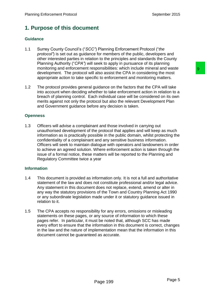### **1. Purpose of this document**

### **Guidance**

- 1.1 Surrey County Council's ("*SCC"*) Planning Enforcement Protocol ("*the protocol"*) is set out as guidance for members of the public, developers and other interested parties in relation to the principles and standards the County Planning Authority ("*CPA"*) will seek to apply in pursuance of its planning monitoring and enforcement responsibilities: which include mineral and waste development. The protocol will also assist the CPA in considering the most appropriate action to take specific to enforcement and monitoring matters.
- 1.2 The protocol provides general guidance on the factors that the CPA will take into account when deciding whether to take enforcement action in relation to a breach of planning control. Each individual case will be considered on its own merits against not only the protocol but also the relevant Development Plan and Government guidance before any decision is taken.

### **Openness**

1.3 Officers will advise a complainant and those involved in carrying out unauthorised development of the protocol that applies and will keep as much information as is practically possible in the public domain, whilst protecting the confidentiality of a complainant and any sensitive business information. Officers will seek to maintain dialogue with operators and landowners in order to achieve an agreed solution. Where enforcement action is taken through the issue of a formal notice, these matters will be reported to the Planning and Regulatory Committee twice a year sponsibilities: which include mineral and waster<br>also assist the CPA in considering the most<br>date assist the CPA in considering the most<br>fic to enforcement and monitoring matters.<br>yuidance on the factors that the CPA will

### **Information**

- 1.4 This document is provided as information only. It is not a full and authoritative statement of the law and does not constitute professional and/or legal advice. Any statement in this document does not replace, extend, amend or alter in any way the statutory provisions of the Town and Country Planning Act 1990 or any subordinate legislation made under it or statutory guidance issued in relation to it.
- 1.5 The CPA accepts no responsibility for any errors, omissions or misleading statements on these pages, or any source of information to which these pages refer. In particular, it must be noted that, although SCC has made every effort to ensure that the information in this document is correct, changes in the law and the nature of implementation mean that the information in this document cannot be guaranteed as accurate.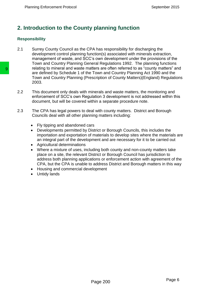### **2. Introduction to the County planning function**

### **Responsibility**

- 2.1 Surrey County Council as the CPA has responsibility for discharging the development control planning function(s) associated with minerals extraction, management of waste, and SCC's own development under the provisions of the Town and Country Planning General Regulations 1992. The planning functions relating to mineral and waste matters are often referred to as "county matters" and are defined by Schedule 1 of the Town and Country Planning Act 1990 and the Town and Country Planning (Prescription of County Matters)(England) Regulations 2003. Fraiting to mineral and waste matters are of the Town and Country Planning (Prescription 2003).<br>
2.2 This document only deals with minerals and enforcement of SCC's own Regulation 3 de document, but will be covered within
	- 2.2 This document only deals with minerals and waste matters, the monitoring and enforcement of SCC's own Regulation 3 development is not addressed within this document, but will be covered within a separate procedure note.
	- 2.3 The CPA has legal powers to deal with county matters. District and Borough Councils deal with all other planning matters including:
		- Fly tipping and abandoned cars
		- Developments permitted by District or Borough Councils, this includes the importation and exportation of materials to develop sites where the materials are an integral part of the development and are necessary for it to be carried out
		- Agricultural determinations
		- Where a mixture of uses, including both county and non-county matters take place on a site, the relevant District or Borough Council has jurisdiction to address both planning applications or enforcement action with agreement of the CPA, but the CPA is unable to address District and Borough matters in this way
		- Housing and commercial development
		- Untidy lands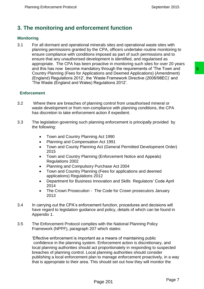### **3. The monitoring and enforcement function**

### **Monitoring**

3.1 For all dormant and operational minerals sites and operational waste sites with planning permissions granted by the CPA, officers undertake routine monitoring to ensure compliance with conditions imposed as part of such permissions and to ensure that any unauthorised development is identified, and regularised as appropriate. The CPA has been proactive in monitoring such sites for over 20 years and this has now become mandatory through the requirements of 'The Town and Country Planning (Fees for Applications and Deemed Applications) (Amendment) (England) Regulations 2012', the 'Waste Framework Directive (2008/98EC)' and 'The Waste (England and Wales) Regulations 2012'.

### **Enforcement**

- 3.2 Where there are breaches of planning control from unauthorised mineral or waste development or from non-compliance with planning conditions, the CPA has discretion to take enforcement action if expedient.
- 3.3 The legislation governing such planning enforcement is principally provided by the following:
	- Town and Country Planning Act 1990
	- Planning and Compensation Act 1991
	- Town and County Planning Act (General Permitted Development Order) 2015
	- Town and Country Planning (Enforcement Notice and Appeals) Regulations 2002
	- Planning and Compulsory Purchase Act 2004
	- Town and Country Planning (Fees for applications and deemed applications) Regulations 2012
	- Department for Business Innovation and Skills Regulators' Code April 2014
	- The Crown Prosecution The Code for Crown prosecutors January 2013
- 3.4 In carrying out the CPA's enforcement function, procedures and decisions will have regard to legislation guidance and policy, details of which can be found in Appendix 1.
- 3.5 The Enforcement Protocol complies with the National Planning Policy Framework (NPPF), paragraph 207 which states:

'Effective enforcement is important as a means of maintaining public confidence in the planning system. Enforcement action is discretionary, and local planning authorities should act proportionately in responding to suspected breaches of planning control. Local planning authorities should consider publishing a local enforcement plan to manage enforcement proactively, in a way that is appropriate to their area. This should set out how they will monitor the If the requirements of The Town and<br>indivisor and Deemed Applications) (Amendment)<br>Waste Framework Directive (2008/98EC) and<br>Regulations 2012'.<br>Waste Framework Directive (2008/98EC) and<br>Regulations 2012'.<br>Interpaliance wit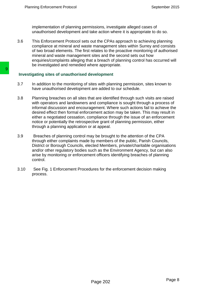implementation of planning permissions, investigate alleged cases of unauthorised development and take action where it is appropriate to do so.

3.6 This Enforcement Protocol sets out the CPAs approach to achieving planning compliance at mineral and waste management sites within Surrey and consists of two broad elements. The first relates to the proactive monitoring of authorised mineral and waste management sites and the second sets out how enquiries/complaints alleging that a breach of planning control has occurred will be investigated and remedied where appropriate.

#### **Investigating sites of unauthorised development**

- 3.7 In addition to the monitoring of sites with planning permission, sites known to have unauthorised development are added to our schedule.
- 3.8 Planning breaches on all sites that are identified through such visits are raised with operators and landowners and compliance is sought through a process of informal discussion and encouragement. Where such actions fail to achieve the desired effect then formal enforcement action may be taken. This may result in either a negotiated cessation, compliance through the issue of an enforcement notice or potentially the retrospective grant of planning permission, either through a planning application or at appeal. STRIM STRIM STRIM Investigating sites of unauthorised development and the monitoring of sites with phave unauthorised development are added<br>
3.8 Planning breaches on all sites that are identify the monitorised development
	- 3.9 Breaches of planning control may be brought to the attention of the CPA through either complaints made by members of the public, Parish Councils, District or Borough Councils, elected Members, private/charitable organisations and/or other regulatory bodies such as the Environment Agency, but can also arise by monitoring or enforcement officers identifying breaches of planning control.
	- 3.10 See Fig. 1 Enforcement Procedures for the enforcement decision making process.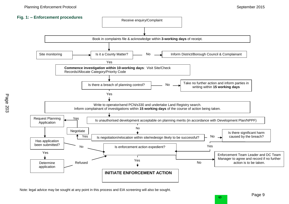

Note: legal advice may be sought at any point in this process and EIA screening will also be sought.

 $\circ$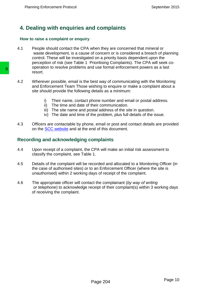### **4. Dealing with enquiries and complaints**

#### **How to raise a complaint or enquiry**

- 4.1 People should contact the CPA when they are concerned that mineral or waste development, is a cause of concern or is considered a breach of planning control. These will be investigated on a priority basis dependent upon the perception of risk (see Table 1 Prioritising Complaints). The CPA will seek cooperation to resolve problems and use formal enforcement powers as a last resort.
- 4.2 Wherever possible, email is the best way of communicating with the Monitoring and Enforcement Team Those wishing to enquire or make a complaint about a site should provide the following details as a minimum: 9<br>
System and Enforcement Team Those wishing to ensure.<br>
The resort.<br>
Wherever possible, email is the best way of<br>
and Enforcement Team Those wishing to e<br>
site should provide the following details as<br>
(i) The rime and dat
	- i) Their name, contact phone number and email or postal address.
	- ii) The time and date of their communication.
	- iii) The site name and postal address of the site in question.
	- iv) The date and time of the problem, plus full details of the issue.
	- 4.3 Officers are contactable by phone, email or post and contact details are provided on the [SCC website](http://new.surreycc.gov.uk/environment-housing-and-planning/planning/planning-applications-register/planning-enforcement-of-minerals-and-waste#enq) and at the end of this document.

### **Recording and acknowledging complaints**

- 4.4 Upon receipt of a complaint, the CPA will make an initial risk assessment to classify the complaint, see Table 1.
- 4.5 Details of the complaint will be recorded and allocated to a Monitoring Officer (in the case of authorised sites) or to an Enforcement Officer (where the site is unauthorised) within 2 working days of receipt of the complaint.
- 4.6 The appropriate officer will contact the complainant (*by way of writing or telephone*) to acknowledge receipt of their complaint(s) within 3 working days of receiving the complaint.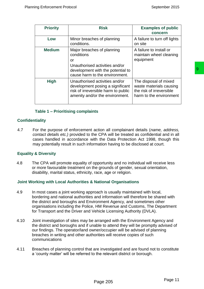| <b>Priority</b>                                                                                                                                                                                                                                                                                                                                                                    | <b>Risk</b>                                                                                                                                                                                                                                                                                                                    | <b>Examples of public</b><br>concern                                                                    |   |  |  |
|------------------------------------------------------------------------------------------------------------------------------------------------------------------------------------------------------------------------------------------------------------------------------------------------------------------------------------------------------------------------------------|--------------------------------------------------------------------------------------------------------------------------------------------------------------------------------------------------------------------------------------------------------------------------------------------------------------------------------|---------------------------------------------------------------------------------------------------------|---|--|--|
| Low                                                                                                                                                                                                                                                                                                                                                                                | Minor breaches of planning<br>conditions.                                                                                                                                                                                                                                                                                      | A failure to turn off lights<br>on site                                                                 |   |  |  |
| <b>Medium</b>                                                                                                                                                                                                                                                                                                                                                                      | Major breaches of planning<br>conditions<br><b>or</b><br>Unauthorised activities and/or<br>development with the potential to<br>cause harm to the environment.                                                                                                                                                                 | A failure to install or<br>maintain wheel cleaning<br>equipment                                         | 9 |  |  |
| <b>High</b>                                                                                                                                                                                                                                                                                                                                                                        | Unauthorised activities and/or<br>development posing a significant<br>risk of irreversible harm to public<br>amenity and/or the environment.                                                                                                                                                                                   | The disposal of mixed<br>waste materials causing<br>the risk of irreversible<br>harm to the environment |   |  |  |
| Table 1 – Prioritising complaints                                                                                                                                                                                                                                                                                                                                                  |                                                                                                                                                                                                                                                                                                                                |                                                                                                         |   |  |  |
| tiality                                                                                                                                                                                                                                                                                                                                                                            |                                                                                                                                                                                                                                                                                                                                |                                                                                                         |   |  |  |
|                                                                                                                                                                                                                                                                                                                                                                                    | or the purpose of enforcement action all complainant details (name, address,<br>ontact details etc.) provided to the CPA will be treated as confidential and in all<br>ases handled in accordance with the Data Protection Act 1998, though this<br>ay potentially result in such information having to be disclosed at court. |                                                                                                         |   |  |  |
| & Diversity                                                                                                                                                                                                                                                                                                                                                                        |                                                                                                                                                                                                                                                                                                                                |                                                                                                         |   |  |  |
| he CPA will promote equality of opportunity and no individual will receive less<br>more favourable treatment on the grounds of gender, sexual orientation,<br>sability, marital status, ethnicity, race, age or religion.                                                                                                                                                          |                                                                                                                                                                                                                                                                                                                                |                                                                                                         |   |  |  |
|                                                                                                                                                                                                                                                                                                                                                                                    | rking with Local Authorities & National Organisations                                                                                                                                                                                                                                                                          |                                                                                                         |   |  |  |
| most cases a joint working approach is usually maintained with local,<br>ordering and national authorities and information will therefore be shared with<br>e district and boroughs and Environment Agency, and sometimes other<br>ganisations including the Police, HM Revenue and Customs, The Department<br>In Transport and the Driver and Vehicle Licensing Authority (DVLA). |                                                                                                                                                                                                                                                                                                                                |                                                                                                         |   |  |  |
| bint investigation of sites may be arranged with the Environment Agency and<br>e district and boroughs and if unable to attend they will be promptly advised of<br>ur findings. The operator/land owner/occupier will be advised of planning<br>reaches in writing and other authorities will receive copies of such<br>ommunications                                              |                                                                                                                                                                                                                                                                                                                                |                                                                                                         |   |  |  |
| reaches of planning control that are investigated and are found not to constitute<br>'county matter' will be referred to the relevant district or borough.                                                                                                                                                                                                                         |                                                                                                                                                                                                                                                                                                                                |                                                                                                         |   |  |  |
|                                                                                                                                                                                                                                                                                                                                                                                    |                                                                                                                                                                                                                                                                                                                                | Page 11                                                                                                 |   |  |  |
|                                                                                                                                                                                                                                                                                                                                                                                    | Page 205                                                                                                                                                                                                                                                                                                                       |                                                                                                         |   |  |  |

### **Table 1 – Prioritising complaints**

### **Confidentiality**

4.7 For the purpose of enforcement action all complainant details (*name, address, contact details etc.)* provided to the CPA will be treated as confidential and in all cases handled in accordance with the Data Protection Act 1998, though this may potentially result in such information having to be disclosed at court.

### **Equality & Diversity**

4.8 The CPA will promote equality of opportunity and no individual will receive less or more favourable treatment on the grounds of gender, sexual orientation, disability, marital status, ethnicity, race, age or religion.

### **Joint Working with Local Authorities & National Organisations**

- 4.9 In most cases a joint working approach is usually maintained with local, bordering and national authorities and information will therefore be shared with the district and boroughs and Environment Agency, and sometimes other organisations including the Police, HM Revenue and Customs, The Department for Transport and the Driver and Vehicle Licensing Authority (DVLA).
- 4.10 Joint investigation of sites may be arranged with the Environment Agency and the district and boroughs and if unable to attend they will be promptly advised of our findings. The operator/land owner/occupier will be advised of planning breaches in writing and other authorities will receive copies of such communications
- 4.11 Breaches of planning control that are investigated and are found not to constitute a 'county matter' will be referred to the relevant district or borough.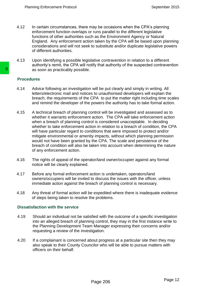- 4.12 In certain circumstances, there may be occasions when the CPA's planning enforcement function overlaps or runs parallel to the different legislative functions of other authorities such as the Environment Agency or Natural England. Any enforcement action taken by the CPA will be based upon planning considerations and will not seek to substitute and/or duplicate legislative powers of different authorities.
- 4.13 Upon identifying a possible legislative contravention in relation to a different authority's remit, the CPA will notify that authority of the suspected contravention as soon as practicably possible.

#### **Procedures**

- 4.14 Advice following an investigation will be put clearly and simply in writing. All letters/electronic mail and notices to unauthorised developers will explain the breach, the requirements of the CPA to put the matter right including time scales and remind the developer of the powers the authority has to take formal action.
- 4.15 A technical breach of planning control will be investigated and assessed as to whether it warrants enforcement action. The CPA will take enforcement action when a breach of planning control is considered unacceptable. In deciding whether to take enforcement action in relation to a breach of condition, the CPA will have particular regard to conditions that were imposed to protect and/or mitigate environmental or amenity impacts, without which planning permission would not have been granted by the CPA. The scale and persistence of the breach of condition will also be taken into account when determining the nature of any enforcement action. Soon as practicably possible.<br>
Procedures<br>
4.14 Advice following an investigation will be put<br>
letters/electronic mail and notices to unauth<br>
breach, the requirements of the CPA to put<br>
and remind the developer of the powe
	- 4.16 The rights of appeal of the operator/land owner/occupier against any formal notice will be clearly explained.
	- 4.17 Before any formal enforcement action is undertaken, operators/land owners/occupiers will be invited to discuss the issues with the officer, unless immediate action against the breach of planning control is necessary.
	- 4.18 Any threat of formal action will be expedited where there is inadequate evidence of steps being taken to resolve the problems.

#### **Dissatisfaction with the service**

- 4.19 Should an individual not be satisfied with the outcome of a specific investigation into an alleged breach of planning control, they may in the first instance write to the Planning Development Team Manager expressing their concerns and/or requesting a review of the investigation.
- 4.20 If a complainant is concerned about progress at a particular site then they may also speak to their County Councilor who will be able to pursue matters with officers on their behalf.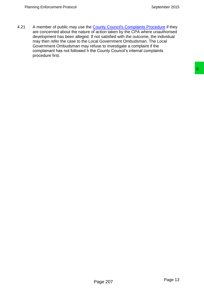4.21 A member of public may use the **County Council's Complaints Procedure** if they are concerned about the nature of action taken by the CPA where unauthorised development has been alleged. If not satisfied with the outcome, the individual may then refer the case to the Local Government Ombudsman. The Local Government Ombudsman may refuse to investigate a complaint if the complainant has not followed h the County Council's internal complaints procedure first.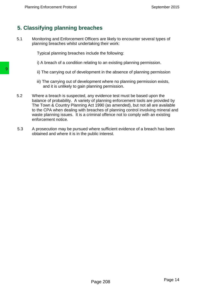### **5. Classifying planning breaches**

5.1 Monitoring and Enforcement Officers are likely to encounter several types of planning breaches whilst undertaking their work:

Typical planning breaches include the following:

- i) A breach of a condition relating to an existing planning permission.
- ii) The carrying out of development in the absence of planning permission
- iii) The carrying out of development where no planning permission exists, and it is unlikely to gain planning permission.
- 5.2 Where a breach is suspected, any evidence test must be based upon the balance of probability. A variety of planning enforcement tools are provided by The Town & Country Planning Act 1990 (as amended), but not all are available to the CPA when dealing with breaches of planning control involving mineral and waste planning issues. It is a criminal offence not to comply with an existing enforcement notice. 9<br>
ii) The carrying out of development in the<br>
iii) The carrying out of development whe<br>
and it is unlikely to gain planning per<br>
Under a breach is suspected, any evidence<br>
balance of probability. A variety of planning<br>
Th
	- 5.3 A prosecution may be pursued where sufficient evidence of a breach has been obtained and where it is in the public interest.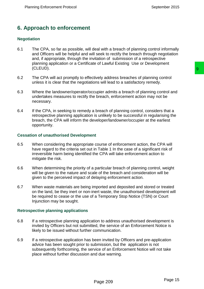### **6. Approach to enforcement**

### **Negotiation**

- 6.1 The CPA, so far as possible, will deal with a breach of planning control informally and Officers will be helpful and will seek to rectify the breach through negotiation and, if appropriate, through the invitation of submission of a retrospective planning application or a Certificate of Lawful Existing Use or Development (CLEUD).
- 6.2 The CPA will act promptly to effectively address breaches of planning control unless it is clear that the negotiations will lead to a satisfactory remedy.
- 6.3 Where the landowner/operator/occupier admits a breach of planning control and undertakes measures to rectify the breach, enforcement action may not be necessary.
- 6.4 If the CPA, in seeking to remedy a breach of planning control, considers that a retrospective planning application is unlikely to be successful in regularising the breach, the CPA will inform the developer/landowner/occupier at the earliest opportunity. ifively address breaches of planning control<br>ons will lead to a satisfactory remedy.<br>cupier admits a breach of planning control and<br>breach, enforcement action may not be<br>breach of planning control, considers that a<br>is unil

### **Cessation of unauthorised Development**

- 6.5 When considering the appropriate course of enforcement action, the CPA will have regard to the criteria set out in Table 1 In the case of a significant risk of irreversible harm being identified the CPA will take enforcement action to mitigate the risk.
- 6.6 When determining the priority of a particular breach of planning control, weight will be given to the nature and scale of the breach and consideration will be given to the perceived impact of delaying enforcement action.
- 6.7 When waste materials are being imported and deposited and stored or treated on the land, be they inert or non-inert waste, the unauthorised development will be required to cease or the use of a Temporary Stop Notice (TSN) or Court Injunction may be sought.

### **Retrospective planning applications**

- 6.8 If a retrospective planning application to address unauthorised development is invited by Officers but not submitted, the service of an Enforcement Notice is likely to be issued without further communication.
- 6.9 If a retrospective application has been invited by Officers and pre-application advice has been sought prior to submission, but the application is not subsequently forthcoming, the service of an Enforcement Notice will not take place without further discussion and due warning.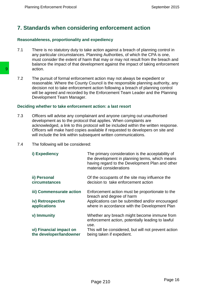### **7. Standards when considering enforcement action**

### **Reasonableness, proportionality and expediency**

- 7.1 There is no statutory duty to take action against a breach of planning control in any particular circumstances. Planning Authorities, of which the CPA is one, must consider the extent of harm that may or may not result from the breach and balance the impact of that development against the impact of taking enforcement action.
- 7.2 The pursuit of formal enforcement action may not always be expedient or reasonable. Where the County Council is the responsible planning authority, any decision not to take enforcement action following a breach of planning control will be agreed and recorded by the Enforcement Team Leader and the Planning Development Team Manager.

### **Deciding whether to take enforcement action: a last resort**

- 7.3 Officers will advise any complainant and anyone carrying out unauthorised development as to the protocol that applies. When complaints are acknowledged, a link to this protocol will be included within the written response. Officers will make hard copies available if requested to developers on site and will include the link within subsequent written communications.
- 7.4 The following will be considered:

| 9 |     | action.                                                                                                                                                                                                                                                                                                                                                  |                                                                                                                                                                                                                                                                                                                                                                                            |         |  |
|---|-----|----------------------------------------------------------------------------------------------------------------------------------------------------------------------------------------------------------------------------------------------------------------------------------------------------------------------------------------------------------|--------------------------------------------------------------------------------------------------------------------------------------------------------------------------------------------------------------------------------------------------------------------------------------------------------------------------------------------------------------------------------------------|---------|--|
|   | 7.2 | The pursuit of formal enforcement action may not always be expedient or<br>reasonable. Where the County Council is the responsible planning authority, any<br>decision not to take enforcement action following a breach of planning control<br>will be agreed and recorded by the Enforcement Team Leader and the Planning<br>Development Team Manager. |                                                                                                                                                                                                                                                                                                                                                                                            |         |  |
|   |     | Deciding whether to take enforcement action: a last resort                                                                                                                                                                                                                                                                                               |                                                                                                                                                                                                                                                                                                                                                                                            |         |  |
|   | 7.3 |                                                                                                                                                                                                                                                                                                                                                          | Officers will advise any complainant and anyone carrying out unauthorised<br>development as to the protocol that applies. When complaints are<br>acknowledged, a link to this protocol will be included within the written response.<br>Officers will make hard copies available if requested to developers on site and<br>will include the link within subsequent written communications. |         |  |
|   | 7.4 | The following will be considered:                                                                                                                                                                                                                                                                                                                        |                                                                                                                                                                                                                                                                                                                                                                                            |         |  |
|   |     | i) Expediency                                                                                                                                                                                                                                                                                                                                            | The primary consideration is the acceptability of<br>the development in planning terms, which means<br>having regard to the Development Plan and other<br>material considerations                                                                                                                                                                                                          |         |  |
|   |     | ii) Personal<br>circumstances                                                                                                                                                                                                                                                                                                                            | Of the occupants of the site may influence the<br>decision to take enforcement action                                                                                                                                                                                                                                                                                                      |         |  |
|   |     | iii) Commensurate action<br>iv) Retrospective                                                                                                                                                                                                                                                                                                            | Enforcement action must be proportionate to the<br>breach and degree of harm<br>Applications can be submitted and/or encouraged                                                                                                                                                                                                                                                            |         |  |
|   |     | applications                                                                                                                                                                                                                                                                                                                                             | where in accordance with the Development Plan                                                                                                                                                                                                                                                                                                                                              |         |  |
|   |     | v) Immunity                                                                                                                                                                                                                                                                                                                                              | Whether any breach might become immune from<br>enforcement action, potentially leading to lawful<br>use.                                                                                                                                                                                                                                                                                   |         |  |
|   |     | vi) Financial impact on<br>the developer/landowner                                                                                                                                                                                                                                                                                                       | This will be considered, but will not prevent action<br>being taken if expedient.                                                                                                                                                                                                                                                                                                          |         |  |
|   |     |                                                                                                                                                                                                                                                                                                                                                          |                                                                                                                                                                                                                                                                                                                                                                                            |         |  |
|   |     |                                                                                                                                                                                                                                                                                                                                                          | Page 210                                                                                                                                                                                                                                                                                                                                                                                   | Page 16 |  |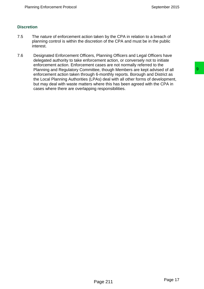### **Discretion**

- 7.5 The nature of enforcement action taken by the CPA in relation to a breach of planning control is within the discretion of the CPA and must be in the public interest.
- 7.6 Designated Enforcement Officers, Planning Officers and Legal Officers have delegated authority to take enforcement action, or conversely not to initiate enforcement action. Enforcement cases are not normally referred to the Planning and Regulatory Committee, though Members are kept advised of all enforcement action taken through 6-monthly reports. Borough and District as the Local Planning Authorities (LPAs) deal with all other forms of development, but may deal with waste matters where this has been agreed with the CPA in cases where there are overlapping responsibilities. tee, though Members are kept advised of all<br>e6-monthly reports. Borough and District as<br>PAs) deal with all other forms of development,<br>where this has been agreed with the CPA in<br>where this has been agreed with the CPA in<br>g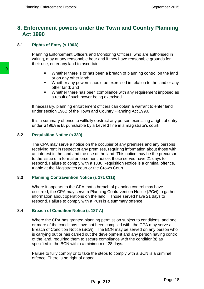### **8. Enforcement powers under the Town and Country Planning Act 1990**

### **8.1 Rights of Entry (s 196A)**

Planning Enforcement Officers and Monitoring Officers, who are authorised in writing, may at any reasonable hour and if they have reasonable grounds for their use, enter any land to ascertain:

- Whether there is or has been a breach of planning control on the land or on any other land;
- Whether any powers should be exercised in relation to the land or any other land; and
- Whether there has been compliance with any requirement imposed as a result of such power being exercised.

If necessary, planning enforcement officers can obtain a warrant to enter land under section 196B of the Town and Country Planning Act 1990.

It is a summary offence to willfully obstruct any person exercising a right of entry under S196A & B, punishable by a Level 3 fine in a magistrate's court.

### **8.2 Requisition Notice (s 330)**

The CPA may serve a notice on the occupier of any premises and any persons receiving rent in respect of any premises, requiring information about those with an interest in the land and the use of the land. This notice may be the precursor to the issue of a formal enforcement notice; those served have 21 days to respond. Failure to comply with a s330 Requisition Notice is a criminal offence, triable at the Magistrates court or the Crown Court. Mosther there is or has been almost or on any other land;<br>
whether any powers should be<br>
whether any powers should be<br>
whether there has been complicared the whether there has been complicared<br>
are sult of such power being

### **8.3 Planning Contravention Notice (s 171 C(1))**

Where it appears to the CPA that a breach of planning control may have occurred, the CPA may serve a Planning Contravention Notice (*PCN*) to gather information about operations on the land. Those served have 21 days to respond. Failure to comply with a PCN is a summary offence

### **8.4 Breach of Condition Notice (s 187 A)**

Where the CPA has granted planning permission subject to conditions, and one or more of the conditions have not been complied with, the CPA may serve a Breach of Condition Notice (*BCN*). The BCN may be served on any person who is carrying out or has carried out the development and any person having control of the land, requiring them to secure compliance with the condition(s) as specified in the BCN within a minimum of 28 days. .

Failure to fully comply or to take the steps to comply with a BCN is a criminal offence. There is no right of appeal.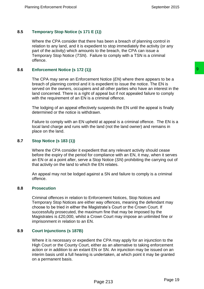### **8.5 Temporary Stop Notice (s 171 E (1))**

Where the CPA consider that there has been a breach of planning control in relation to any land, and it is expedient to stop immediately the activity (or any part of the activity) which amounts to the breach, the CPA can issue a Temporary Stop Notice (*TSN*). Failure to comply with a TSN is a criminal offence.

### **8.6 Enforcement Notice (s 172 (1))**

The CPA may serve an Enforcement Notice (*EN*) where there appears to be a breach of planning control and it is expedient to issue the notice. The EN is served on the owners, occupiers and all other parties who have an interest in the land concerned. There is a right of appeal but if not appealed failure to comply with the requirement of an EN is a criminal offence.

The lodging of an appeal effectively suspends the EN until the appeal is finally determined or the notice is withdrawn.

Failure to comply with an EN upheld at appeal is a criminal offence. The EN is a local land charge and runs with the land (not the land owner) and remains in place on the land.

#### **8.7 Stop Notice (s 183 (1))**

Where the CPA consider it expedient that any relevant activity should cease before the expiry of the period for compliance with an EN, it may, when it serves an EN or at a point after, serve a Stop Notice (*SN*) prohibiting the carrying out of that activity on the land to which the EN relates.

An appeal may not be lodged against a SN and failure to comply is a criminal offence.

#### **8.8 Prosecution**

Criminal offences in relation to Enforcement Notices, Stop Notices and Temporary Stop Notices are either way offences, meaning the defendant may choose to be tried in either the Magistrate's Court or the Crown Court. If successfully prosecuted, the maximum fine that may be imposed by the Magistrates is £20,000, whilst a Crown Court may impose an unlimited fine or imprisonment in relation to an EN. 99<br>
ent Notice (*EM*) where then coitce. The EN is<br>
expedient to issue the notice. The EN is<br>
and all other parties who have an interest in the<br>
drapeal but if not appealed failure to comply<br>
y ususpends the EN until the a

#### **8.9 Court Injunctions (s 187B)**

Where it is necessary or expedient the CPA may apply for an injunction to the High Court or the County Court, either as an alternative to taking enforcement action or in addition to an extant EN or SN. An injunction may be issued on an interim basis until a full hearing is undertaken, at which point it may be granted on a permanent basis.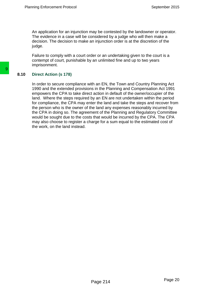An application for an injunction may be contested by the landowner or operator. The evidence in a case will be considered by a judge who will then make a decision. The decision to make an injunction order is at the discretion of the judge.

Failure to comply with a court order or an undertaking given to the court is a contempt of court, punishable by an unlimited fine and up to two years imprisonment.

### **8.10 Direct Action (s 178)**

In order to secure compliance with an EN, the Town and Country Planning Act 1990 and the extended provisions in the Planning and Compensation Act 1991 empowers the CPA to take direct action in default of the owner/occupier of the land. Where the steps required by an EN are not undertaken within the period for compliance, the CPA may enter the land and take the steps and recover from the person who is the owner of the land any expenses reasonably incurred by the CPA in doing so. The agreement of the Planning and Regulatory Committee would be sought due to the costs that would be incurred by the CPA. The CPA may also choose to register a charge for a sum equal to the estimated cost of the work, on the land instead. **8.10** Direct Action (s 178)<br>
In order to secure compliance with an EN, 1990 and the extended provisions in the PH<br>
empowers the CPA to take direct action in<br>
land. Where the steps required by an EN a<br>
to compliance, the C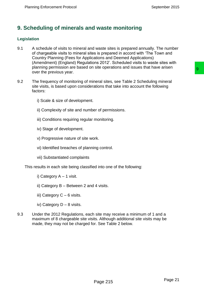### **9. Scheduling of minerals and waste monitoring**

### **Legislation**

- 9.1 A schedule of visits to mineral and waste sites is prepared annually. The number of chargeable visits to mineral sites is prepared in accord with 'The Town and Country Planning (Fees for Applications and Deemed Applications) (Amendment) (England) Regulations 2012'. Scheduled visits to waste sites with planning permission are based on site operations and issues that have arisen over the previous year.
- 9.2 The frequency of monitoring of mineral sites, see Table 2 Scheduling mineral site visits, is based upon considerations that take into account the following factors: sie operations and issues that have ansert<br>neral sites, see Table 2 Scheduling mineral<br>ations that take into account the following<br>per of permissions.<br>monitoring.<br>A visits.<br>4 visits.<br>4 visits.<br>4 visits.<br>at it may receive a
	- i) Scale & size of development.
	- ii) Complexity of site and number of permissions.
	- iii) Conditions requiring regular monitoring.
	- iv) Stage of development.
	- v) Progressive nature of site work.
	- vi) Identified breaches of planning control.
	- vii) Substantiated complaints

This results in each site being classified into one of the following:

- i) Category A 1 visit.
- ii) Category B Between 2 and 4 visits.
- iii) Category  $C 6$  visits.
- iv) Category D 8 visits.
- 9.3 Under the 2012 Regulations, each site may receive a minimum of 1 and a maximum of 8 chargeable site visits. Although additional site visits may be made, they may not be charged for. See Table 2 below.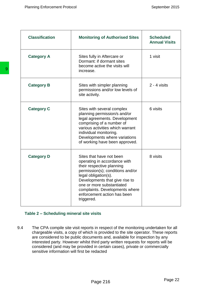|   | <b>Classification</b>                               | <b>Monitoring of Authorised Sites</b>                                                                                                                                                                                                                                                                                                                                                                                     | <b>Scheduled</b><br><b>Annual Visits</b> |
|---|-----------------------------------------------------|---------------------------------------------------------------------------------------------------------------------------------------------------------------------------------------------------------------------------------------------------------------------------------------------------------------------------------------------------------------------------------------------------------------------------|------------------------------------------|
| 9 | <b>Category A</b>                                   | Sites fully in Aftercare or<br>Dormant: if dormant sites<br>become active the visits will<br>increase.                                                                                                                                                                                                                                                                                                                    | 1 visit                                  |
|   | <b>Category B</b>                                   | Sites with simpler planning<br>permissions and/or low levels of<br>site activity.                                                                                                                                                                                                                                                                                                                                         | 2 - 4 visits                             |
|   | <b>Category C</b>                                   | Sites with several complex<br>planning permission/s and/or<br>legal agreements. Development<br>comprising of a number of<br>various activities which warrant<br>individual monitoring.<br>Developments where variations<br>of working have been approved.                                                                                                                                                                 | 6 visits                                 |
|   | <b>Category D</b>                                   | Sites that have not been<br>operating in accordance with<br>their respective planning<br>permission(s); conditions and/or<br>legal obligation(s).<br>Developments that give rise to<br>one or more substantiated<br>complaints. Developments where<br>enforcement action has been<br>triggered.                                                                                                                           | 8 visits                                 |
|   | Table 2 - Scheduling mineral site visits            |                                                                                                                                                                                                                                                                                                                                                                                                                           |                                          |
|   | 9.4<br>sensitive information will first be redacted | The CPA compile site visit reports in respect of the monitoring undertaken for all<br>chargeable visits, a copy of which is provided to the site operator. These reports<br>are considered to be public documents and, available for inspection by any<br>interested party. However whilst third party written requests for reports will be<br>considered (and may be provided in certain cases), private or commercially |                                          |
|   |                                                     | Page 216                                                                                                                                                                                                                                                                                                                                                                                                                  | Page 22                                  |

### **Table 2 – Scheduling mineral site visits**

Г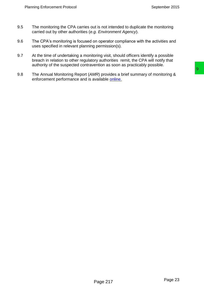- 9.5 The monitoring the CPA carries out is not intended to duplicate the monitoring carried out by other authorities (*e.g. Environment Agency*).
- 9.6 The CPA's monitoring is focused on operator compliance with the activities and uses specified in relevant planning permission(s).
- 9.7 At the time of undertaking a monitoring visit, should officers identify a possible breach in relation to other regulatory authorities remit, the CPA will notify that authority of the suspected contravention as soon as practicably possible.
- 9.8 The Annual Monitoring Report (*AMR*) provides a brief summary of monitoring & enforcement performance and is available [online.](http://new.surreycc.gov.uk/environment-housing-and-planning/minerals-and-waste-policies-and-plans/minerals-and-waste-planning-annual-monitoring-report)  $\alpha$ R) provides a brief summary of monitoring &<br>
available <u>online,</u><br>
Page 217 Page 23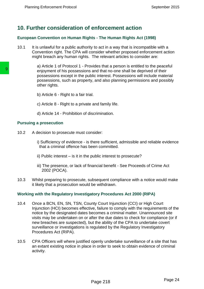### **10. Further consideration of enforcement action**

### **European Convention on Human Rights - The Human Rights Act (1998)**

- 10.1 It is unlawful for a public authority to act in a way that is incompatible with a Convention right. The CPA will consider whether proposed enforcement action might breach any human rights. The relevant articles to consider are:
	- a) Article 1 of Protocol 1 Provides that a person is entitled to the peaceful enjoyment of his possessions and that no-one shall be deprived of their possessions except in the public interest. Possessions will include material possessions, such as property, and also planning permissions and possibly other rights.
		- b) Article 6 Right to a fair trial.
		- c) Article 8 Right to a private and family life.
		- d) Article 14 Prohibition of discrimination.

#### **Pursuing a prosecution**

- 10.2 A decision to prosecute must consider:
	- i) Sufficiency of evidence is there sufficient, admissible and reliable evidence that a criminal offence has been committed.
	- ii) Public interest is it in the public interest to prosecute?
	- iii) The presence, or lack of financial benefit See Proceeds of Crime Act 2002 (POCA).
- 10.3 Whilst preparing to prosecute, subsequent compliance with a notice would make it likely that a prosecution would be withdrawn.

### **Working with the Regulatory Investigatory Procedures Act 2000 (RIPA)**

- 10.4 Once a BCN, EN, SN, TSN, County Court Injunction (CCI) or High Court Injunction (HCI) becomes effective, failure to comply with the requirements of the notice by the designated dates becomes a criminal matter. Unannounced site visits may be undertaken on or after the due dates to check for compliance (or if new breaches are suspected), but the ability of the CPA to undertake covert surveillance or investigations is regulated by the Regulatory Investigatory Procedures Act (RIPA). 9<br>
enjoyment of his possessions and that not<br>
cossessions except in the public interests<br>
cossessions, such as property, and also<br>
cossessions, such as property, and also<br>
cother rights.<br>
D) Article 6 - Right to a fair t
	- 10.5 CPA Officers will where justified openly undertake surveillance of a site that has an extant existing notice in place in order to seek to obtain evidence of criminal activity.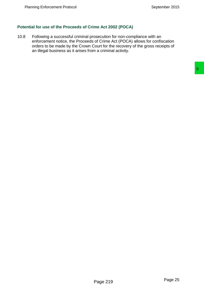### **Potential for use of the Proceeds of Crime Act 2002 (POCA)**

10.8 Following a successful criminal prosecution for non-compliance with an enforcement notice, the Proceeds of Crime Act (POCA) allows for confiscation orders to be made by the Crown Court for the recovery of the gross receipts of an illegal business as it arises from a criminal activity.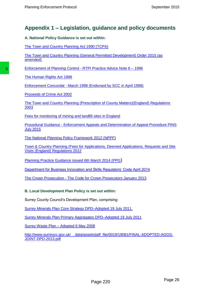### **Appendix 1 – Legislation, guidance and policy documents**

**A. National Policy Guidance is set out within:**

[The Town and Country Planning Act 1990 \(TCPA\)](http://www.legislation.gov.uk/ukpga/1990/8/contents)

[The Town and Country Planning \(General Permitted Development\) Order 2015 \(as](http://www.legislation.gov.uk/uksi/2015/596/made)  [amended\)](http://www.legislation.gov.uk/uksi/2015/596/made) 

[Enforcement of Planning Control -](http://planningguidance.planningportal.gov.uk/?s=Enforcement+of+Planning+Control+-+RTPI+Practice+Advice+Note+6+%E2%80%93+1996) RTPI Practice Advice Note 6 – 1996

[The Human Rights Act 1998](http://www.legislation.gov.uk/ukpga/1998/42/contents)

Enforcement Concordat - [March 1998 \(Endorsed by SCC in April 1998\)](http://webarchive.nationalarchives.gov.uk/+/http:/www.berr.gov.uk/files/file10150.pdf)

[Proceeds of Crime Act 2002](http://www.legislation.gov.uk/ukpga/2002/29/contents)

[The Town and Country Planning \(Prescription of County Matters\)\(England\) Regulations](http://www.legislation.gov.uk/uksi/2010/2184/made/data.pdf)  [2003](http://www.legislation.gov.uk/uksi/2010/2184/made/data.pdf)

[Fees for monitoring of mining and landfill sites in England](http://planningguidance.planningportal.gov.uk/blog/guidance/fees-for-planning-applications/fees-for-monitoring-mining-and-landfill-sites/)

Procedural Guidance - [Enforcement Appeals and Determination of Appeal Procedure PINS](http://www.planningportal.gov.uk/planning/appeals/enforcementappeals)  [July 2015](http://www.planningportal.gov.uk/planning/appeals/enforcementappeals) 9<br>
Enforcement of Planning Control - RTPI Practice As<br>
The Human Rights Act 1998<br>
Enforcement Concordat - March 1998 (Endorsed by<br>
Proceeds of Crime Act 2002<br>
The Town and Country Planning (Prescription of Co<br>
2003<br>
Fees f

[The National Planning Policy Framework 2012](http://planningguidance.planningportal.gov.uk/blog/policy/) (NPPF)

[Town & Country Planning \(Fees for Applications, Deemed Applications, Requests and Site](http://www.legislation.gov.uk/ukdsi/2012/9780111527290/contents)  [Visits \(England\) Regulations 2012](http://www.legislation.gov.uk/ukdsi/2012/9780111527290/contents)

[Planning Practice Guidance issued 6th March 2014 \(PPG](http://planningguidance.planningportal.gov.uk/about/))

[Department for Business Innovation and Skills Regulators' Code April 2014](https://www.gov.uk/government/organisations/better-regulation-delivery-office)

The Crown Prosecution - [The Code for Crown Prosecutors January 2013](https://www.cps.gov.uk/publications/code_for_crown_prosecutors/)

### **B. Local Development Plan Policy is set out within:**

Surrey County Council's Development Plan, comprising:

[Surrey Minerals Plan Core Strategy DPD–Adopted 19 July 2011.](http://new.surreycc.gov.uk/environment-housing-and-planning/minerals-and-waste-policies-and-plans/surrey-minerals-plan-core-strategy-development-plan-document)

[Surrey Minerals Plan Primary Aggregates DPD–Adopted 19 July 2011](http://new.surreycc.gov.uk/environment-housing-and-planning/minerals-and-waste-policies-and-plans/surrey-minerals-plan-core-strategy-development-plan-document)

Surrey Waste Plan – [Adopted 6 May 2008](http://new.surreycc.gov.uk/environment-housing-and-planning/minerals-and-waste-policies-and-plans/surrey-waste-plan) 

http://www.surreycc.gov.uk/ data/assets/pdf file/0019/19081/FINAL-ADOPTED-AGGS-[JOINT-DPD-2013.pdf](http://www.surreycc.gov.uk/__data/assets/pdf_file/0019/19081/FINAL-ADOPTED-AGGS-JOINT-DPD-2013.pdf)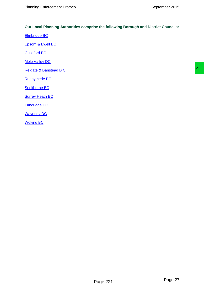### **Our Local Planning Authorities comprise the following Borough and District Councils:**

[Elmbridge BC](http://www.elmbridge.gov.uk/planning/policy/)

[Epsom & Ewell BC](http://www.epsom-well.gov.uk/EEBC/Planning/Planning+Policies/Local+Development+Framework/)

[Guildford BC](http://www.guildford.gov.uk/planningpolicy)

[Mole Valley DC](http://www.molevalley.gov.uk/localplans)

[Reigate & Banstead B C](https://localpl.reigate-banstead.gov.uk/)

[Runnymede BC](https://www.runnymede.gov.uk/article/5238/Local-Plan-2001-Current)

[Spelthorne BC](https://www.spelthorne.gov.uk/article/2754/Local-Plan-documents)

**[Surrey Heath BC](http://www.surreyheath.gov.uk/residents/planning/planning-policy/surrey-heath-local-plan)** 

[Tandridge DC](http://www.tandridge.gov.uk/Planning/PlanningPolicy/localplanning/local_development_framework.htm)

**[Waverley DC](http://www.waverley.gov.uk/info/494/local_plan/1424/the_existing_local_plan)** 

[Woking BC](http://www.woking.gov.uk/planning/policy/localplan1999)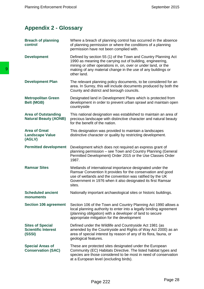### **Appendix 2 - Glossary**

|   | <b>Breach of planning</b><br>control                            | Where a breach of planning control has occurred in the absence<br>of planning permission or where the conditions of a planning<br>permission have not been complied with.                                                                                                    |         |
|---|-----------------------------------------------------------------|------------------------------------------------------------------------------------------------------------------------------------------------------------------------------------------------------------------------------------------------------------------------------|---------|
| 9 | <b>Development</b>                                              | Defined by section 55 (1) of the Town and Country Planning Act<br>1990 as meaning the carrying out of building, engineering,<br>mining or other operations in, on, over or under land, or the<br>making of any material change in the use of any buildings or<br>other land. |         |
|   | <b>Development Plan</b>                                         | The relevant planning policy documents, to be considered for an<br>area. In Surrey, this will include documents produced by both the<br>County and district and borough councils.                                                                                            |         |
|   | <b>Metropolitan Green</b><br><b>Belt (MGB)</b>                  | Designated land in Development Plans which is protected from<br>development in order to prevent urban sprawl and maintain open<br>countryside                                                                                                                                |         |
|   | <b>Area of Outstanding</b><br><b>Natural Beauty (AONB)</b>      | This national designation was established to maintain an area of<br>precious landscape with distinctive character and natural beauty<br>for the benefit of the nation.                                                                                                       |         |
|   | <b>Area of Great</b><br><b>Landscape Value</b><br>(AGLV)        | This designation was provided to maintain a landscapes<br>distinctive character or quality by restricting development.                                                                                                                                                       |         |
|   | <b>Permitted development</b>                                    | Development which does not required an express grant of<br>planning permission - see Town and Country Planning (General<br>Permitted Development) Order 2015 or the Use Classes Order<br>1987.                                                                               |         |
|   | <b>Ramsar Sites</b>                                             | Wetlands of international importance designated under the<br>Ramsar Convention It provides for the conservation and good<br>use of wetlands and the convention was ratified by the UK<br>Government in 1976 when it also designated its first Ramsar<br>sites.               |         |
|   | <b>Scheduled ancient</b><br>monuments                           | Nationally important archaeological sites or historic buildings.                                                                                                                                                                                                             |         |
|   | <b>Section 106 agreement</b>                                    | Section 106 of the Town and Country Planning Act 1990 allows a<br>local planning authority to enter into a legally binding agreement<br>(planning obligation) with a developer of land to secure<br>appropriate mitigation for the development                               |         |
|   | <b>Sites of Special</b><br><b>Scientific Interest</b><br>(SSSI) | Defined under the Wildlife and Countryside Act 1981 (as<br>amended by the Countryside and Rights of Way Act 2000) as an<br>area of special interest by reason of any of its flora, fauna, or<br>geological features.                                                         |         |
|   | <b>Special Areas of</b><br><b>Conservation (SAC)</b>            | These are protected sites designated under the European<br>Community (EC) Habitats Directive. The listed habitat types and<br>species are those considered to be most in need of conservation<br>at a European level (excluding birds).                                      |         |
|   |                                                                 |                                                                                                                                                                                                                                                                              |         |
|   |                                                                 | Page 222                                                                                                                                                                                                                                                                     | Page 28 |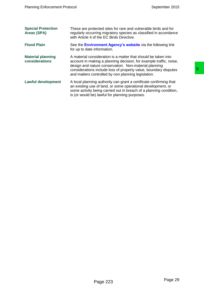| <b>Special Protection</b><br>Areas (SPA)   | These are protected sites for rare and vulnerable birds and for<br>regularly occurring migratory species as classified in accordance<br>with Article 4 of the EC Birds Directive.                                                                                                                                        |         |
|--------------------------------------------|--------------------------------------------------------------------------------------------------------------------------------------------------------------------------------------------------------------------------------------------------------------------------------------------------------------------------|---------|
| <b>Flood Plain</b>                         | See the Environment Agency's website via the following link<br>for up to date information.                                                                                                                                                                                                                               |         |
| <b>Material planning</b><br>considerations | A material consideration is a matter that should be taken into<br>account in making a planning decision, for example traffic, noise,<br>design and nature conservation. Non-material planning<br>considerations include loss of property value, boundary disputes<br>and matters controlled by non planning legislation. | 9       |
| <b>Lawful development</b>                  | A local planning authority can grant a certificate confirming that:<br>an existing use of land, or some operational development, or<br>some activity being carried out in breach of a planning condition,<br>is (or would be) lawful for planning purposes.                                                              |         |
|                                            |                                                                                                                                                                                                                                                                                                                          |         |
|                                            |                                                                                                                                                                                                                                                                                                                          |         |
|                                            |                                                                                                                                                                                                                                                                                                                          |         |
|                                            |                                                                                                                                                                                                                                                                                                                          |         |
|                                            |                                                                                                                                                                                                                                                                                                                          |         |
|                                            |                                                                                                                                                                                                                                                                                                                          |         |
|                                            |                                                                                                                                                                                                                                                                                                                          |         |
|                                            |                                                                                                                                                                                                                                                                                                                          |         |
|                                            | Page 223                                                                                                                                                                                                                                                                                                                 | Page 29 |